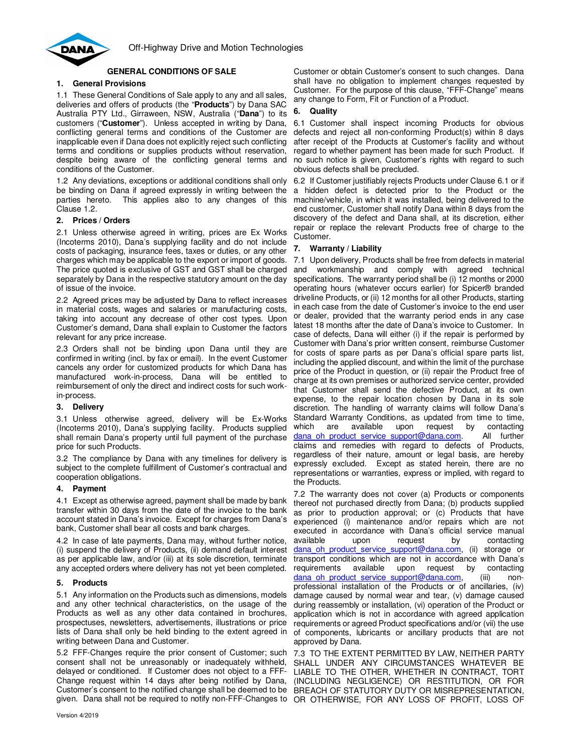

# **GENERAL CONDITIONS OF SALE**

# **1. General Provisions**

1.1 These General Conditions of Sale apply to any and all sales, deliveries and offers of products (the "**Products**") by Dana SAC Australia PTY Ltd., Girraween, NSW, Australia ("**Dana**") to its customers ("**Customer**"). Unless accepted in writing by Dana, conflicting general terms and conditions of the Customer are inapplicable even if Dana does not explicitly reject such conflicting terms and conditions or supplies products without reservation, despite being aware of the conflicting general terms and conditions of the Customer.

1.2 Any deviations, exceptions or additional conditions shall only be binding on Dana if agreed expressly in writing between the parties hereto. This applies also to any changes of this Clause 1.2.

# **2. Prices / Orders**

2.1 Unless otherwise agreed in writing, prices are Ex Works (Incoterms 2010), Dana's supplying facility and do not include costs of packaging, insurance fees, taxes or duties, or any other charges which may be applicable to the export or import of goods. The price quoted is exclusive of GST and GST shall be charged separately by Dana in the respective statutory amount on the day of issue of the invoice.

2.2 Agreed prices may be adjusted by Dana to reflect increases in material costs, wages and salaries or manufacturing costs, taking into account any decrease of other cost types. Upon Customer's demand, Dana shall explain to Customer the factors relevant for any price increase.

2.3 Orders shall not be binding upon Dana until they are confirmed in writing (incl. by fax or email). In the event Customer cancels any order for customized products for which Dana has manufactured work-in-process, Dana will be entitled to reimbursement of only the direct and indirect costs for such workin-process.

# **3. Delivery**

3.1 Unless otherwise agreed, delivery will be Ex-Works (Incoterms 2010), Dana's supplying facility. Products supplied shall remain Dana's property until full payment of the purchase price for such Products.

3.2 The compliance by Dana with any timelines for delivery is subject to the complete fulfillment of Customer's contractual and cooperation obligations.

# **4. Payment**

4.1 Except as otherwise agreed, payment shall be made by bank transfer within 30 days from the date of the invoice to the bank account stated in Dana's invoice. Except for charges from Dana's bank, Customer shall bear all costs and bank charges.

4.2 In case of late payments, Dana may, without further notice, (i) suspend the delivery of Products, (ii) demand default interest as per applicable law, and/or (iii) at its sole discretion, terminate any accepted orders where delivery has not yet been completed.

# **5. Products**

5.1 Any information on the Products such as dimensions, models and any other technical characteristics, on the usage of the Products as well as any other data contained in brochures, prospectuses, newsletters, advertisements, illustrations or price lists of Dana shall only be held binding to the extent agreed in writing between Dana and Customer.

5.2 FFF-Changes require the prior consent of Customer; such consent shall not be unreasonably or inadequately withheld, delayed or conditioned. If Customer does not object to a FFF-Change request within 14 days after being notified by Dana, Customer's consent to the notified change shall be deemed to be BREACH OF STATUTORY DUTY OR MISREPRESENTATION, given. Dana shall not be required to notify non-FFF-Changes to OR OTHERWISE, FOR ANY LOSS OF PROFIT, LOSS OF

Customer or obtain Customer's consent to such changes. Dana shall have no obligation to implement changes requested by Customer. For the purpose of this clause, "FFF-Change" means any change to Form, Fit or Function of a Product.

# **6. Quality**

6.1 Customer shall inspect incoming Products for obvious defects and reject all non-conforming Product(s) within 8 days after receipt of the Products at Customer's facility and without regard to whether payment has been made for such Product. If no such notice is given, Customer's rights with regard to such obvious defects shall be precluded.

6.2 If Customer justifiably rejects Products under Clause 6.1 or if a hidden defect is detected prior to the Product or the machine/vehicle, in which it was installed, being delivered to the end customer, Customer shall notify Dana within 8 days from the discovery of the defect and Dana shall, at its discretion, either repair or replace the relevant Products free of charge to the Customer.

# **7. Warranty / Liability**

7.1 Upon delivery, Products shall be free from defects in material and workmanship and comply with agreed technical specifications. The warranty period shall be (i) 12 months or 2000 operating hours (whatever occurs earlier) for Spicer® branded driveline Products, or (ii) 12 months for all other Products, starting in each case from the date of Customer's invoice to the end user or dealer, provided that the warranty period ends in any case latest 18 months after the date of Dana's invoice to Customer. In case of defects, Dana will either (i) if the repair is performed by Customer with Dana's prior written consent, reimburse Customer for costs of spare parts as per Dana's official spare parts list, including the applied discount, and within the limit of the purchase price of the Product in question, or (ii) repair the Product free of charge at its own premises or authorized service center, provided that Customer shall send the defective Product, at its own expense, to the repair location chosen by Dana in its sole discretion. The handling of warranty claims will follow Dana's Standard Warranty Conditions, as updated from time to time, which are available upon request by contacting dana oh product service support@dana.com. All further claims and remedies with regard to defects of Products, regardless of their nature, amount or legal basis, are hereby expressly excluded. Except as stated herein, there are no representations or warranties, express or implied, with regard to the Products.

7.2 The warranty does not cover (a) Products or components thereof not purchased directly from Dana; (b) products supplied as prior to production approval; or (c) Products that have experienced (i) maintenance and/or repairs which are not executed in accordance with Dana's official service manual available upon request by contacting dana oh product service support@dana.com, (ii) storage or transport conditions which are not in accordance with Dana's requirements available upon request by contacting dana oh product service support@dana.com, (iii) nonprofessional installation of the Products or of ancillaries, (iv) damage caused by normal wear and tear, (v) damage caused during reassembly or installation, (vi) operation of the Product or application which is not in accordance with agreed application requirements or agreed Product specifications and/or (vii) the use of components, lubricants or ancillary products that are not approved by Dana.

7.3 TO THE EXTENT PERMITTED BY LAW, NEITHER PARTY SHALL UNDER ANY CIRCUMSTANCES WHATEVER BE LIABLE TO THE OTHER, WHETHER IN CONTRACT, TORT (INCLUDING NEGLIGENCE) OR RESTITUTION, OR FOR